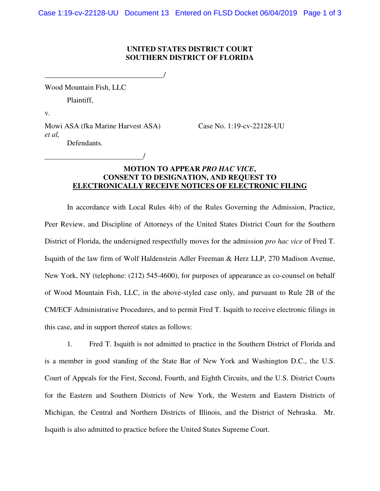## **UNITED STATES DISTRICT COURT SOUTHERN DISTRICT OF FLORIDA**

Wood Mountain Fish, LLC

Plaintiff,

v.

Mowi ASA (fka Marine Harvest ASA) Case No. 1:19-cv-22128-UU *et al,*  Defendants.

/

\_\_\_\_\_\_\_\_\_\_\_\_\_\_\_\_\_\_\_\_\_\_\_\_\_\_\_\_\_\_\_\_/

## **MOTION TO APPEAR** *PRO HAC VICE***, CONSENT TO DESIGNATION, AND REQUEST TO ELECTRONICALLY RECEIVE NOTICES OF ELECTRONIC FILING**

In accordance with Local Rules 4(b) of the Rules Governing the Admission, Practice, Peer Review, and Discipline of Attorneys of the United States District Court for the Southern District of Florida, the undersigned respectfully moves for the admission *pro hac vice* of Fred T. Isquith of the law firm of Wolf Haldenstein Adler Freeman & Herz LLP, 270 Madison Avenue, New York, NY (telephone: (212) 545-4600), for purposes of appearance as co-counsel on behalf of Wood Mountain Fish, LLC, in the above-styled case only, and pursuant to Rule 2B of the CM/ECF Administrative Procedures, and to permit Fred T. Isquith to receive electronic filings in this case, and in support thereof states as follows:

1. Fred T. Isquith is not admitted to practice in the Southern District of Florida and is a member in good standing of the State Bar of New York and Washington D.C., the U.S. Court of Appeals for the First, Second, Fourth, and Eighth Circuits, and the U.S. District Courts for the Eastern and Southern Districts of New York, the Western and Eastern Districts of Michigan, the Central and Northern Districts of Illinois, and the District of Nebraska. Mr. Isquith is also admitted to practice before the United States Supreme Court.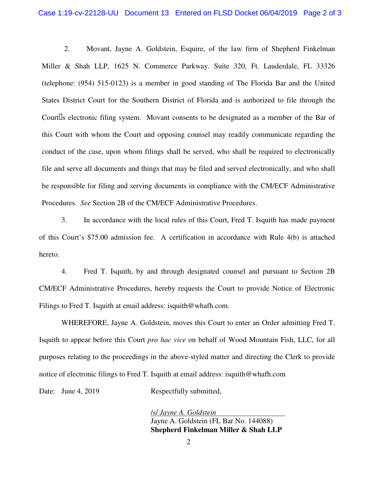2. Movant, Jayne A. Goldstein, Esquire, of the law firm of Shepherd Finkelman Miller & Shah LLP, 1625 N. Commerce Parkway. Suite 320, Ft. Lauderdale, FL 33326 (telephone: (954) 515-0123) is a member in good standing of The Florida Bar and the United States District Court for the Southern District of Florida and is authorized to file through the Court s electronic filing system. Movant consents to be designated as a member of the Bar of this Court with whom the Court and opposing counsel may readily communicate regarding the conduct of the case, upon whom filings shall be served, who shall be required to electronically file and serve all documents and things that may be filed and served electronically, and who shall be responsible for filing and serving documents in compliance with the CM/ECF Administrative Procedures. *See* Section 2B of the CM/ECF Administrative Procedures.

3. In accordance with the local rules of this Court, Fred T. Isquith has made payment of this Court's \$75.00 admission fee. A certification in accordance with Rule 4(b) is attached hereto.

4. Fred T. Isquith, by and through designated counsel and pursuant to Section 2B CM/ECF Administrative Procedures, hereby requests the Court to provide Notice of Electronic Filings to Fred T. Isquith at email address: isquith@whafh.com.

WHEREFORE, Jayne A. Goldstein, moves this Court to enter an Order admitting Fred T. Isquith to appear before this Court *pro hac vice* on behalf of Wood Mountain Fish, LLC, for all purposes relating to the proceedings in the above-styled matter and directing the Clerk to provide notice of electronic filings to Fred T. Isquith at email address: isquith@whafh.com

Date: June 4, 2019 Respectfully submitted,

/s/ *Jayne A. Goldstein*  Jayne A. Goldstein (FL Bar No. 144088) **Shepherd Finkelman Miller & Shah LLP**